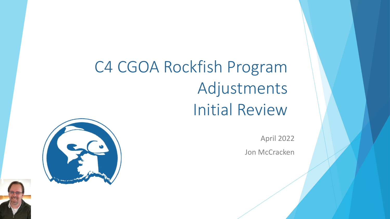# C4 CGOA Rockfish Program Adjustments Initial Review



April 2022

Jon McCracken

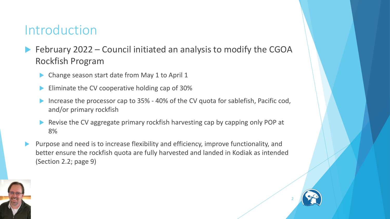#### Introduction

- February 2022 Council initiated an analysis to modify the CGOA Rockfish Program
	- Change season start date from May 1 to April 1
	- Eliminate the CV cooperative holding cap of 30%
	- Increase the processor cap to 35% 40% of the CV quota for sablefish, Pacific cod, and/or primary rockfish
	- Revise the CV aggregate primary rockfish harvesting cap by capping only POP at 8%
- Purpose and need is to increase flexibility and efficiency, improve functionality, and better ensure the rockfish quota are fully harvested and landed in Kodiak as intended (Section 2.2; page 9)

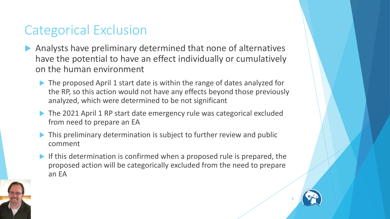#### Categorical Exclusion

- Analysts have preliminary determined that none of alternatives have the potential to have an effect individually or cumulatively on the human environment
	- ▶ The proposed April 1 start date is within the range of dates analyzed for the RP, so this action would not have any effects beyond those previously analyzed, which were determined to be not significant
	- The 2021 April 1 RP start date emergency rule was categorical excluded from need to prepare an EA
	- This preliminary determination is subject to further review and public comment
	- If this determination is confirmed when a proposed rule is prepared, the proposed action will be categorically excluded from the need to prepare an EA

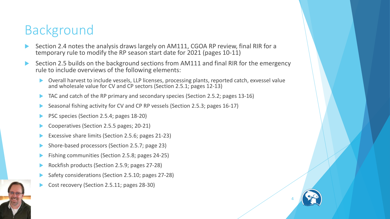#### Background

- Section 2.4 notes the analysis draws largely on AM111, CGOA RP review, final RIR for a temporary rule to modify the RP season start date for 2021 (pages 10-11)
- Section 2.5 builds on the background sections from AM111 and final RIR for the emergency rule to include overviews of the following elements:
	- Overall harvest to include vessels, LLP licenses, processing plants, reported catch, exvessel value and wholesale value for CV and CP sectors (Section 2.5.1; pages 12-13)

- TAC and catch of the RP primary and secondary species (Section 2.5.2; pages 13-16)
- Seasonal fishing activity for CV and CP RP vessels (Section 2.5.3; pages 16-17)
- PSC species (Section 2.5.4; pages 18-20)
- Cooperatives (Section 2.5.5 pages; 20-21)
- Excessive share limits (Section 2.5.6; pages 21-23)
- Shore-based processors (Section 2.5.7; page 23)
- Fishing communities (Section 2.5.8; pages 24-25)
- Rockfish products (Section 2.5.9; pages 27-28)
- Safety considerations (Section 2.5.10; pages 27-28)
- Cost recovery (Section 2.5.11; pages 28-30)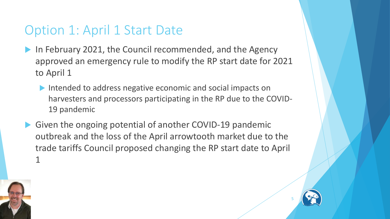#### Option 1: April 1 Start Date

- In February 2021, the Council recommended, and the Agency approved an emergency rule to modify the RP start date for 2021 to April 1
	- Intended to address negative economic and social impacts on harvesters and processors participating in the RP due to the COVID-19 pandemic
- Given the ongoing potential of another COVID-19 pandemic outbreak and the loss of the April arrowtooth market due to the trade tariffs Council proposed changing the RP start date to April 1



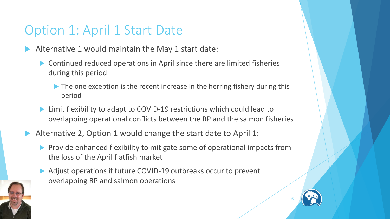#### Option 1: April 1 Start Date

- Alternative 1 would maintain the May 1 start date:
	- ▶ Continued reduced operations in April since there are limited fisheries during this period
		- The one exception is the recent increase in the herring fishery during this period
	- ▶ Limit flexibility to adapt to COVID-19 restrictions which could lead to overlapping operational conflicts between the RP and the salmon fisheries
- Alternative 2, Option 1 would change the start date to April 1:
	- **Provide enhanced flexibility to mitigate some of operational impacts from** the loss of the April flatfish market
	- Adjust operations if future COVID-19 outbreaks occur to prevent overlapping RP and salmon operations

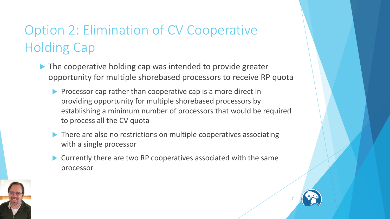### Option 2: Elimination of CV Cooperative Holding Cap

- The cooperative holding cap was intended to provide greater opportunity for multiple shorebased processors to receive RP quota
	- Processor cap rather than cooperative cap is a more direct in providing opportunity for multiple shorebased processors by establishing a minimum number of processors that would be required to process all the CV quota
	- There are also no restrictions on multiple cooperatives associating with a single processor
	- Currently there are two RP cooperatives associated with the same processor

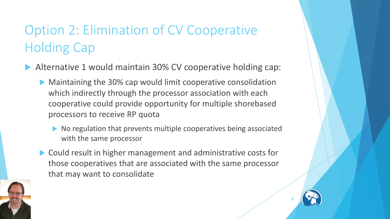### Option 2: Elimination of CV Cooperative Holding Cap

- Alternative 1 would maintain 30% CV cooperative holding cap:
	- Maintaining the 30% cap would limit cooperative consolidation which indirectly through the processor association with each cooperative could provide opportunity for multiple shorebased processors to receive RP quota
		- No regulation that prevents multiple cooperatives being associated with the same processor
	- ▶ Could result in higher management and administrative costs for those cooperatives that are associated with the same processor that may want to consolidate



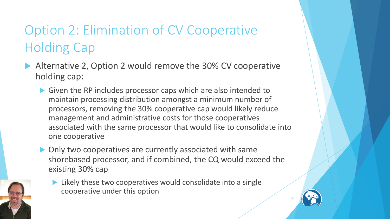### Option 2: Elimination of CV Cooperative Holding Cap

- Alternative 2, Option 2 would remove the 30% CV cooperative holding cap:
	- Given the RP includes processor caps which are also intended to maintain processing distribution amongst a minimum number of processors, removing the 30% cooperative cap would likely reduce management and administrative costs for those cooperatives associated with the same processor that would like to consolidate into one cooperative
	- ▶ Only two cooperatives are currently associated with same shorebased processor, and if combined, the CQ would exceed the existing 30% cap



 Likely these two cooperatives would consolidate into a single cooperative under this option

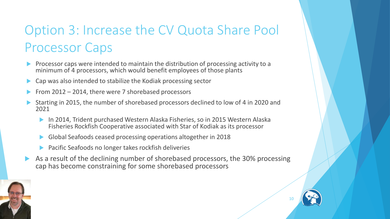- Processor caps were intended to maintain the distribution of processing activity to a minimum of 4 processors, which would benefit employees of those plants
- Cap was also intended to stabilize the Kodiak processing sector
- From 2012 2014, there were 7 shorebased processors
- Starting in 2015, the number of shorebased processors declined to low of 4 in 2020 and 2021
	- In 2014, Trident purchased Western Alaska Fisheries, so in 2015 Western Alaska Fisheries Rockfish Cooperative associated with Star of Kodiak as its processor
	- Global Seafoods ceased processing operations altogether in 2018
	- Pacific Seafoods no longer takes rockfish deliveries
- As a result of the declining number of shorebased processors, the 30% processing cap has become constraining for some shorebased processors



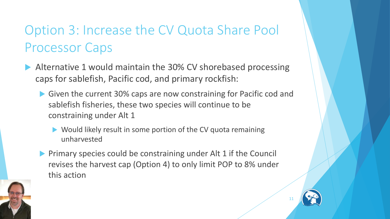- Alternative 1 would maintain the 30% CV shorebased processing caps for sablefish, Pacific cod, and primary rockfish:
	- Given the current 30% caps are now constraining for Pacific cod and sablefish fisheries, these two species will continue to be constraining under Alt 1
		- ▶ Would likely result in some portion of the CV quota remaining unharvested
	- **Primary species could be constraining under Alt 1 if the Council** revises the harvest cap (Option 4) to only limit POP to 8% under this action



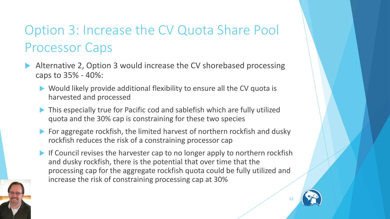- Alternative 2, Option 3 would increase the CV shorebased processing caps to 35% - 40%:
	- ▶ Would likely provide additional flexibility to ensure all the CV quota is harvested and processed
	- This especially true for Pacific cod and sablefish which are fully utilized quota and the 30% cap is constraining for these two species
	- For aggregate rockfish, the limited harvest of northern rockfish and dusky rockfish reduces the risk of a constraining processor cap
	- If Council revises the harvester cap to no longer apply to northern rockfish and dusky rockfish, there is the potential that over time that the processing cap for the aggregate rockfish quota could be fully utilized and increase the risk of constraining processing cap at 30%

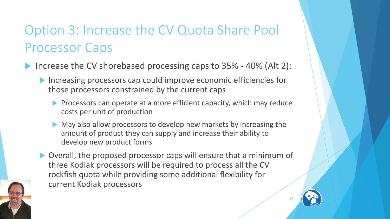- Increase the CV shorebased processing caps to 35% 40% (Alt 2):
	- ▶ Increasing processors cap could improve economic efficiencies for those processors constrained by the current caps
		- **Processors can operate at a more efficient capacity, which may reduce** costs per unit of production
		- May also allow processors to develop new markets by increasing the amount of product they can supply and increase their ability to develop new product forms
	- Overall, the proposed processor caps will ensure that a minimum of three Kodiak processors will be required to process all the CV rockfish quota while providing some additional flexibility for current Kodiak processors

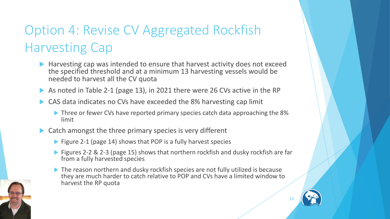### Option 4: Revise CV Aggregated Rockfish Harvesting Cap

- ▶ Harvesting cap was intended to ensure that harvest activity does not exceed the specified threshold and at a minimum 13 harvesting vessels would be needed to harvest all the CV quota
- As noted in Table 2-1 (page 13), in 2021 there were 26 CVs active in the RP
- ▶ CAS data indicates no CVs have exceeded the 8% harvesting cap limit
	- Three or fewer CVs have reported primary species catch data approaching the 8% limit
- $\triangleright$  Catch amongst the three primary species is very different
	- $\blacktriangleright$  Figure 2-1 (page 14) shows that POP is a fully harvest species
	- ▶ Figures 2-2 & 2-3 (page 15) shows that northern rockfish and dusky rockfish are far from a fully harvested species
	- The reason northern and dusky rockfish species are not fully utilized is because they are much harder to catch relative to POP and CVs have a limited window to harvest the RP quota

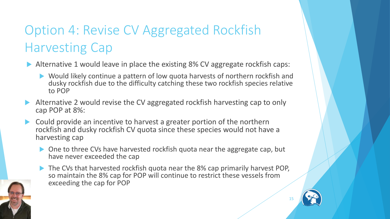### Option 4: Revise CV Aggregated Rockfish Harvesting Cap

- Alternative 1 would leave in place the existing 8% CV aggregate rockfish caps:
	- Would likely continue a pattern of low quota harvests of northern rockfish and dusky rockfish due to the difficulty catching these two rockfish species relative to POP
- Alternative 2 would revise the CV aggregated rockfish harvesting cap to only cap POP at 8%:
- Could provide an incentive to harvest a greater portion of the northern rockfish and dusky rockfish CV quota since these species would not have a harvesting cap
	- ▶ One to three CVs have harvested rockfish quota near the aggregate cap, but have never exceeded the cap
	- ▶ The CVs that harvested rockfish quota near the 8% cap primarily harvest POP, so maintain the 8% cap for POP will continue to restrict these vessels from exceeding the cap for POP

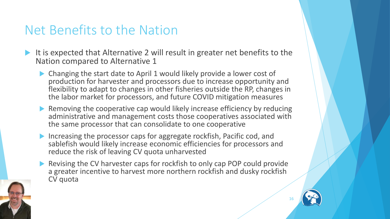#### Net Benefits to the Nation

- It is expected that Alternative 2 will result in greater net benefits to the Nation compared to Alternative 1
	- Changing the start date to April 1 would likely provide a lower cost of production for harvester and processors due to increase opportunity and flexibility to adapt to changes in other fisheries outside the RP, changes in the labor market for processors, and future COVID mitigation measures
	- ▶ Removing the cooperative cap would likely increase efficiency by reducing administrative and management costs those cooperatives associated with the same processor that can consolidate to one cooperative
	- Increasing the processor caps for aggregate rockfish, Pacific cod, and sablefish would likely increase economic efficiencies for processors and reduce the risk of leaving CV quota unharvested
	- Revising the CV harvester caps for rockfish to only cap POP could provide a greater incentive to harvest more northern rockfish and dusky rockfish CV quota